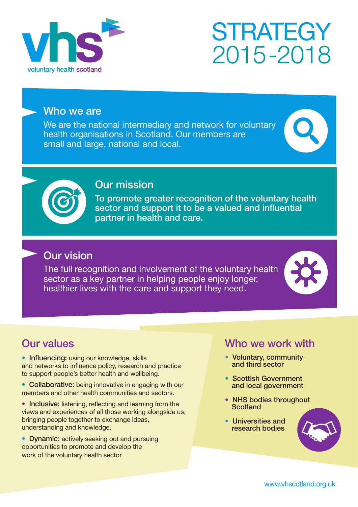

# **STRATEGY** 2015-2018

### Who we are

We are the national intermediary and network for voluntary health organisations in Scotland. Our members are small and large, national and local.





# Our mission

To promote greater recognition of the voluntary health sector and support it to be a valued and influential partner in health and care.

# Our vision

The full recognition and involvement of the voluntary health sector as a key partner in helping people enjoy longer, healthier lives with the care and support they need.



# Our values

• Influencing: using our knowledge, skills and networks to influence policy, research and practice to support people's better health and wellbeing.

- Collaborative: being innovative in engaging with our members and other health communities and sectors.
- Inclusive: listening, reflecting and learning from the views and experiences of all those working alongside us, bringing people together to exchange ideas, understanding and knowledge.
- Dynamic: actively seeking out and pursuing opportunities to promote and develop the work of the voluntary health sector

## Who we work with

- Voluntary, community and third sector
- Scottish Government and local government
- NHS bodies throughout **Scotland**
- Universities and research bodies